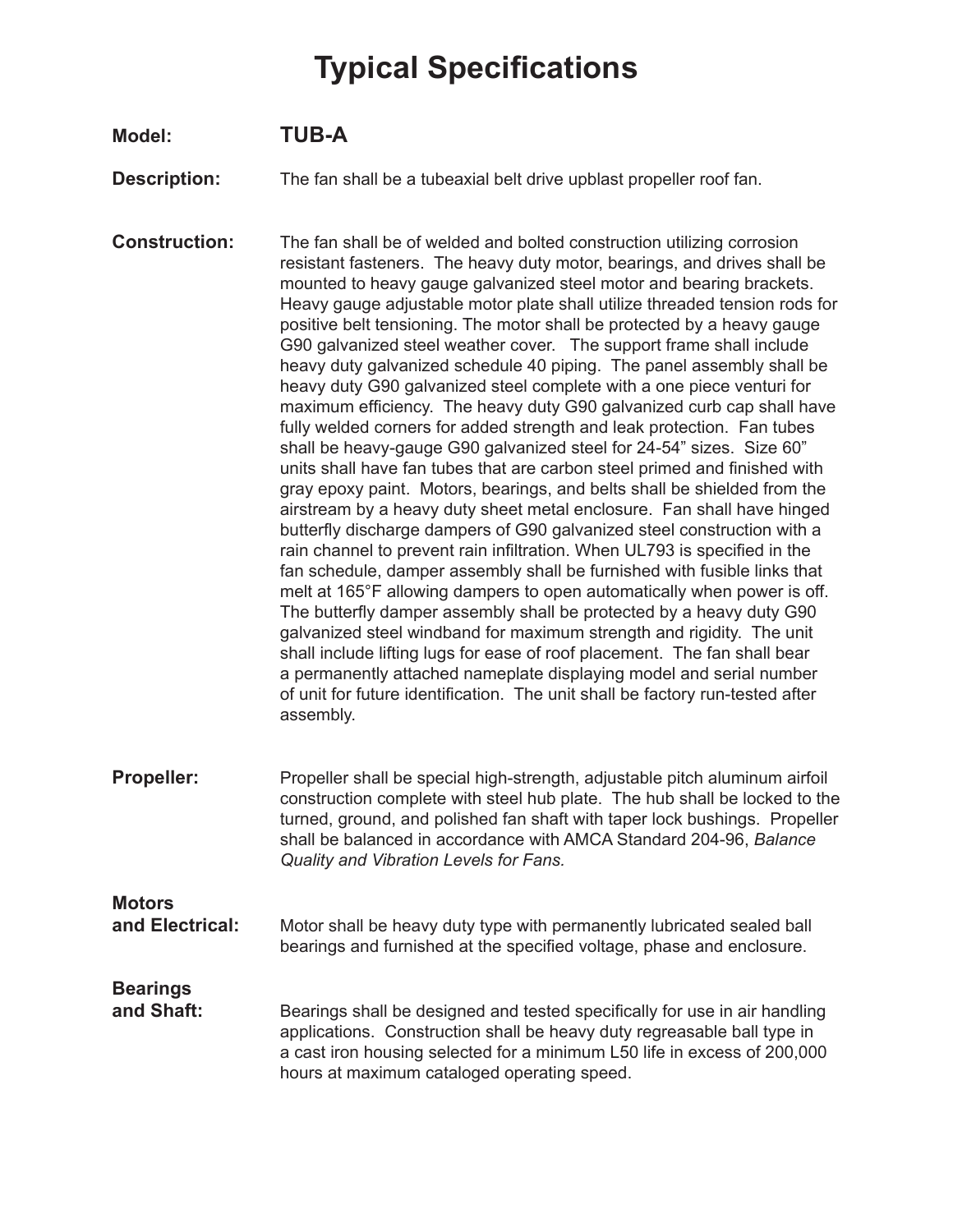## **Typical Specifications**

### **Model: TUB-A**

**Description:** The fan shall be a tubeaxial belt drive upblast propeller roof fan.

**Construction:** The fan shall be of welded and bolted construction utilizing corrosion resistant fasteners. The heavy duty motor, bearings, and drives shall be mounted to heavy gauge galvanized steel motor and bearing brackets. Heavy gauge adjustable motor plate shall utilize threaded tension rods for positive belt tensioning. The motor shall be protected by a heavy gauge G90 galvanized steel weather cover. The support frame shall include heavy duty galvanized schedule 40 piping. The panel assembly shall be heavy duty G90 galvanized steel complete with a one piece venturi for maximum efficiency. The heavy duty G90 galvanized curb cap shall have fully welded corners for added strength and leak protection. Fan tubes shall be heavy-gauge G90 galvanized steel for 24-54" sizes. Size 60" units shall have fan tubes that are carbon steel primed and finished with gray epoxy paint. Motors, bearings, and belts shall be shielded from the airstream by a heavy duty sheet metal enclosure. Fan shall have hinged butterfly discharge dampers of G90 galvanized steel construction with a rain channel to prevent rain infiltration. When UL793 is specified in the fan schedule, damper assembly shall be furnished with fusible links that melt at 165°F allowing dampers to open automatically when power is off. The butterfly damper assembly shall be protected by a heavy duty G90 galvanized steel windband for maximum strength and rigidity. The unit shall include lifting lugs for ease of roof placement. The fan shall bear a permanently attached nameplate displaying model and serial number of unit for future identification. The unit shall be factory run-tested after assembly. **Propeller:** Propeller shall be special high-strength, adjustable pitch aluminum airfoil construction complete with steel hub plate. The hub shall be locked to the

turned, ground, and polished fan shaft with taper lock bushings. Propeller shall be balanced in accordance with AMCA Standard 204-96, *Balance Quality and Vibration Levels for Fans.*

**Motors** 

**and Electrical:** Motor shall be heavy duty type with permanently lubricated sealed ball bearings and furnished at the specified voltage, phase and enclosure.

**Bearings** 

**and Shaft:** Bearings shall be designed and tested specifically for use in air handling applications. Construction shall be heavy duty regreasable ball type in a cast iron housing selected for a minimum L50 life in excess of 200,000 hours at maximum cataloged operating speed.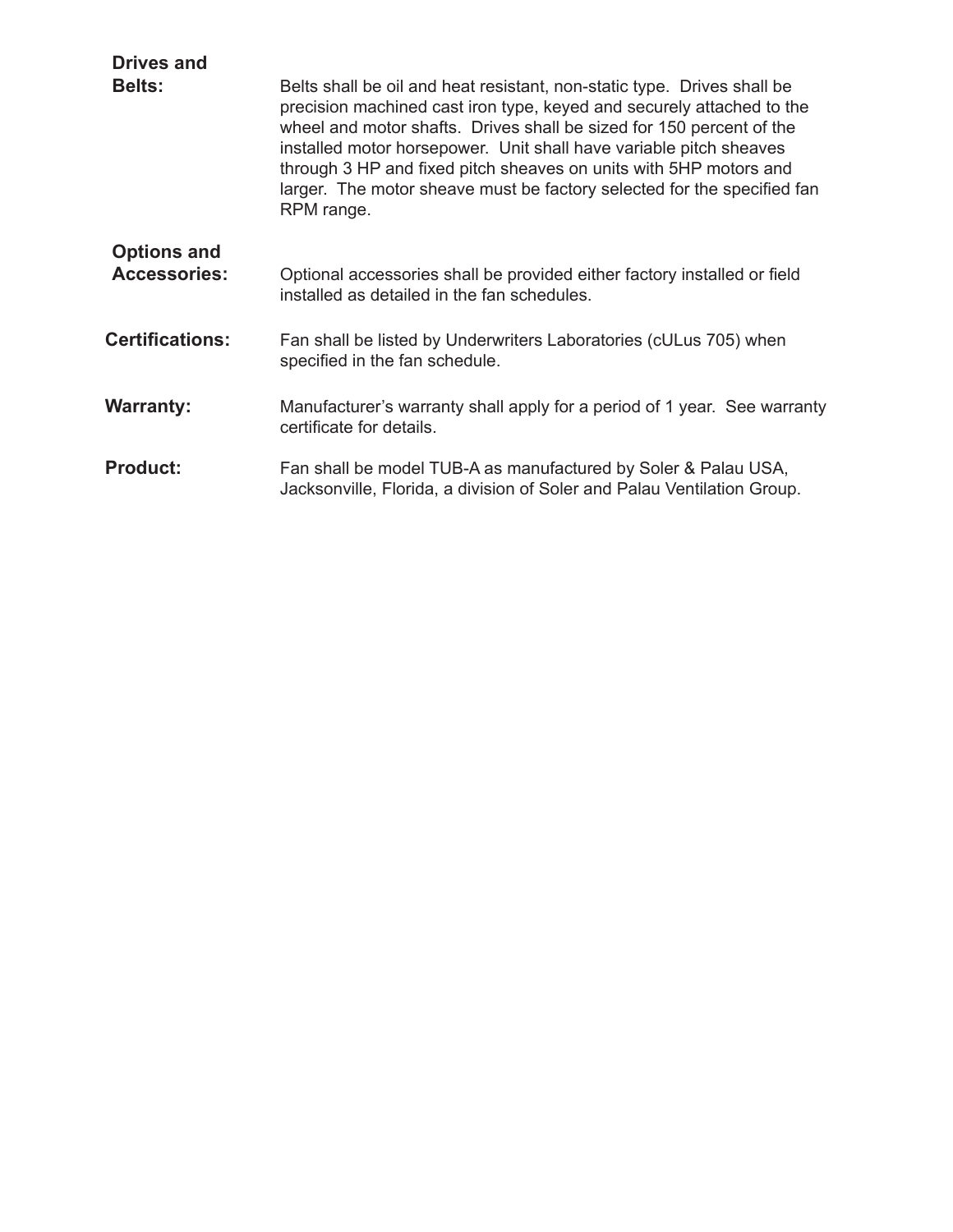| <b>Drives and</b>                         |                                                                                                                                                                                                                                                                                                                                                                                                                                                              |
|-------------------------------------------|--------------------------------------------------------------------------------------------------------------------------------------------------------------------------------------------------------------------------------------------------------------------------------------------------------------------------------------------------------------------------------------------------------------------------------------------------------------|
| <b>Belts:</b>                             | Belts shall be oil and heat resistant, non-static type. Drives shall be<br>precision machined cast iron type, keyed and securely attached to the<br>wheel and motor shafts. Drives shall be sized for 150 percent of the<br>installed motor horsepower. Unit shall have variable pitch sheaves<br>through 3 HP and fixed pitch sheaves on units with 5HP motors and<br>larger. The motor sheave must be factory selected for the specified fan<br>RPM range. |
| <b>Options and</b><br><b>Accessories:</b> | Optional accessories shall be provided either factory installed or field<br>installed as detailed in the fan schedules.                                                                                                                                                                                                                                                                                                                                      |
| <b>Certifications:</b>                    | Fan shall be listed by Underwriters Laboratories (cULus 705) when<br>specified in the fan schedule.                                                                                                                                                                                                                                                                                                                                                          |
| <b>Warranty:</b>                          | Manufacturer's warranty shall apply for a period of 1 year. See warranty<br>certificate for details.                                                                                                                                                                                                                                                                                                                                                         |
| <b>Product:</b>                           | Fan shall be model TUB-A as manufactured by Soler & Palau USA,<br>Jacksonville, Florida, a division of Soler and Palau Ventilation Group.                                                                                                                                                                                                                                                                                                                    |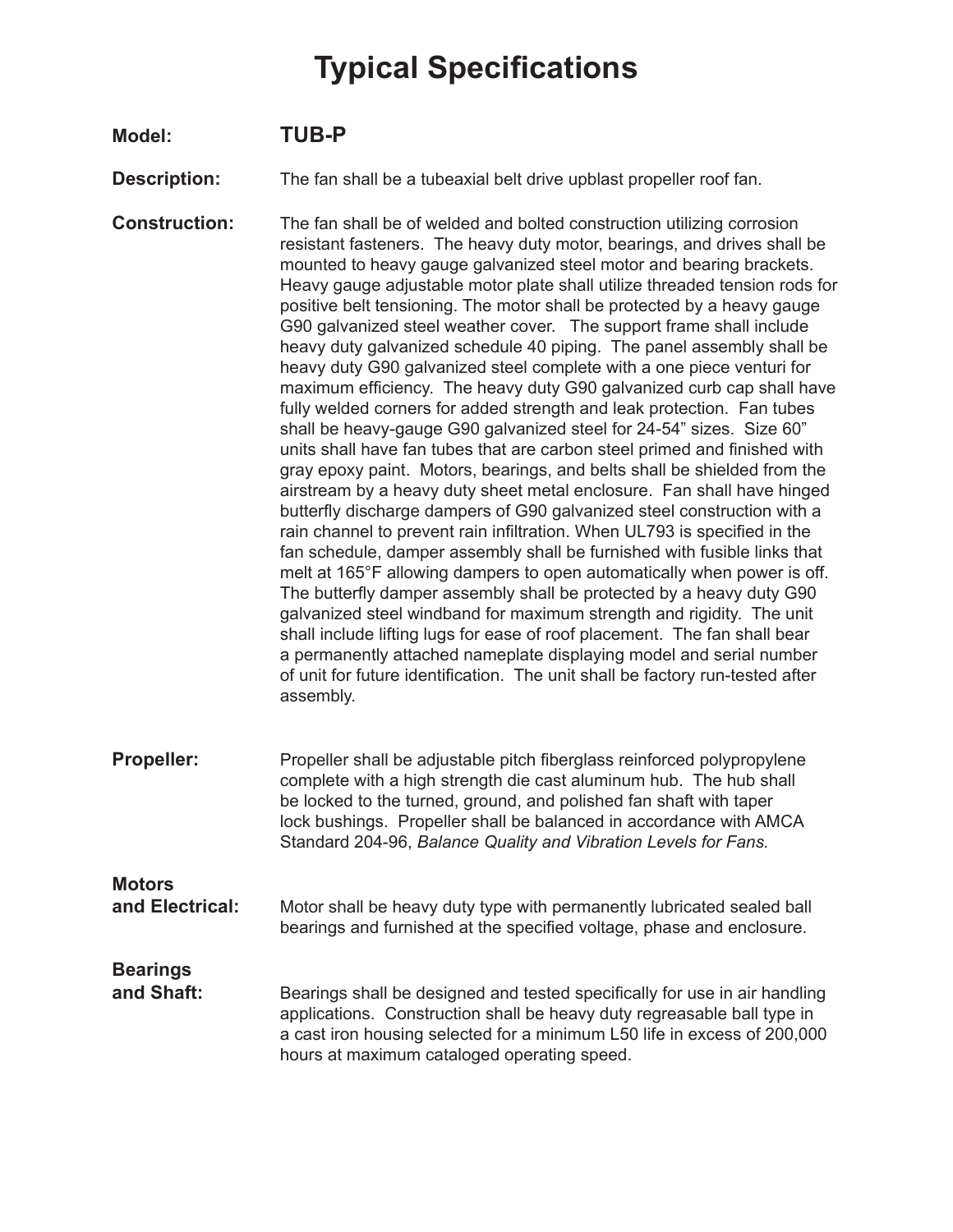## **Typical Specifications**

#### **Model: TUB-P**

**Description:** The fan shall be a tubeaxial belt drive upblast propeller roof fan.

**Construction:** The fan shall be of welded and bolted construction utilizing corrosion resistant fasteners. The heavy duty motor, bearings, and drives shall be mounted to heavy gauge galvanized steel motor and bearing brackets. Heavy gauge adjustable motor plate shall utilize threaded tension rods for positive belt tensioning. The motor shall be protected by a heavy gauge G90 galvanized steel weather cover. The support frame shall include heavy duty galvanized schedule 40 piping. The panel assembly shall be heavy duty G90 galvanized steel complete with a one piece venturi for maximum efficiency. The heavy duty G90 galvanized curb cap shall have fully welded corners for added strength and leak protection. Fan tubes shall be heavy-gauge G90 galvanized steel for 24-54" sizes. Size 60" units shall have fan tubes that are carbon steel primed and finished with gray epoxy paint. Motors, bearings, and belts shall be shielded from the airstream by a heavy duty sheet metal enclosure. Fan shall have hinged butterfly discharge dampers of G90 galvanized steel construction with a rain channel to prevent rain infiltration. When UL793 is specified in the fan schedule, damper assembly shall be furnished with fusible links that melt at 165°F allowing dampers to open automatically when power is off. The butterfly damper assembly shall be protected by a heavy duty G90 galvanized steel windband for maximum strength and rigidity. The unit shall include lifting lugs for ease of roof placement. The fan shall bear a permanently attached nameplate displaying model and serial number of unit for future identification. The unit shall be factory run-tested after assembly.

**Propeller:** Propeller shall be adjustable pitch fiberglass reinforced polypropylene complete with a high strength die cast aluminum hub. The hub shall be locked to the turned, ground, and polished fan shaft with taper lock bushings. Propeller shall be balanced in accordance with AMCA Standard 204-96, *Balance Quality and Vibration Levels for Fans.*

# **Motors**

**and Electrical:** Motor shall be heavy duty type with permanently lubricated sealed ball bearings and furnished at the specified voltage, phase and enclosure.

## **Bearings**

**and Shaft:** Bearings shall be designed and tested specifically for use in air handling applications. Construction shall be heavy duty regreasable ball type in a cast iron housing selected for a minimum L50 life in excess of 200,000 hours at maximum cataloged operating speed.